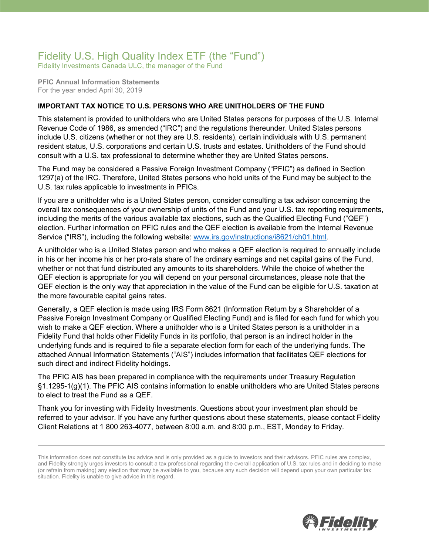## Fidelity U.S. High Quality Index ETF (the "Fund")

Fidelity Investments Canada ULC, the manager of the Fund

**PFIC Annual Information Statements** For the year ended April 30, 2019

## **IMPORTANT TAX NOTICE TO U.S. PERSONS WHO ARE UNITHOLDERS OF THE FUND**

This statement is provided to unitholders who are United States persons for purposes of the U.S. Internal Revenue Code of 1986, as amended ("IRC") and the regulations thereunder. United States persons include U.S. citizens (whether or not they are U.S. residents), certain individuals with U.S. permanent resident status, U.S. corporations and certain U.S. trusts and estates. Unitholders of the Fund should consult with a U.S. tax professional to determine whether they are United States persons.

The Fund may be considered a Passive Foreign Investment Company ("PFIC") as defined in Section 1297(a) of the IRC. Therefore, United States persons who hold units of the Fund may be subject to the U.S. tax rules applicable to investments in PFICs.

If you are a unitholder who is a United States person, consider consulting a tax advisor concerning the overall tax consequences of your ownership of units of the Fund and your U.S. tax reporting requirements, including the merits of the various available tax elections, such as the Qualified Electing Fund ("QEF") election. Further information on PFIC rules and the QEF election is available from the Internal Revenue Service ("IRS"), including the following website: [www.irs.gov/instructions/i8621/ch01.html.](http://www.irs.gov/instructions/i8621/ch01.html)

A unitholder who is a United States person and who makes a QEF election is required to annually include in his or her income his or her pro-rata share of the ordinary earnings and net capital gains of the Fund, whether or not that fund distributed any amounts to its shareholders. While the choice of whether the QEF election is appropriate for you will depend on your personal circumstances, please note that the QEF election is the only way that appreciation in the value of the Fund can be eligible for U.S. taxation at the more favourable capital gains rates.

Generally, a QEF election is made using IRS Form 8621 (Information Return by a Shareholder of a Passive Foreign Investment Company or Qualified Electing Fund) and is filed for each fund for which you wish to make a QEF election. Where a unitholder who is a United States person is a unitholder in a Fidelity Fund that holds other Fidelity Funds in its portfolio, that person is an indirect holder in the underlying funds and is required to file a separate election form for each of the underlying funds. The attached Annual Information Statements ("AIS") includes information that facilitates QEF elections for such direct and indirect Fidelity holdings.

The PFIC AIS has been prepared in compliance with the requirements under Treasury Regulation §1.1295-1(g)(1). The PFIC AIS contains information to enable unitholders who are United States persons to elect to treat the Fund as a QEF.

Thank you for investing with Fidelity Investments. Questions about your investment plan should be referred to your advisor. If you have any further questions about these statements, please contact Fidelity Client Relations at 1 800 263-4077, between 8:00 a.m. and 8:00 p.m., EST, Monday to Friday.



This information does not constitute tax advice and is only provided as a guide to investors and their advisors. PFIC rules are complex, and Fidelity strongly urges investors to consult a tax professional regarding the overall application of U.S. tax rules and in deciding to make (or refrain from making) any election that may be available to you, because any such decision will depend upon your own particular tax situation. Fidelity is unable to give advice in this regard.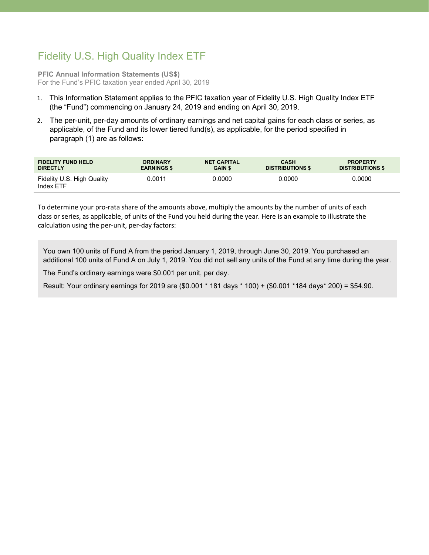## Fidelity U.S. High Quality Index ETF

**PFIC Annual Information Statements (US\$)** For the Fund's PFIC taxation year ended April 30, 2019

- 1. This Information Statement applies to the PFIC taxation year of Fidelity U.S. High Quality Index ETF (the "Fund") commencing on January 24, 2019 and ending on April 30, 2019.
- 2. The per-unit, per-day amounts of ordinary earnings and net capital gains for each class or series, as applicable, of the Fund and its lower tiered fund(s), as applicable, for the period specified in paragraph (1) are as follows:

| <b>FIDELITY FUND HELD</b>               | <b>ORDINARY</b>    | <b>NET CAPITAL</b> | <b>CASH</b>             | <b>PROPERTY</b>         |
|-----------------------------------------|--------------------|--------------------|-------------------------|-------------------------|
| <b>DIRECTLY</b>                         | <b>EARNINGS \$</b> | <b>GAIN \$</b>     | <b>DISTRIBUTIONS \$</b> | <b>DISTRIBUTIONS \$</b> |
| Fidelity U.S. High Quality<br>Index ETF | 0.0011             | 0.0000             | 0.0000                  | 0.0000                  |

To determine your pro-rata share of the amounts above, multiply the amounts by the number of units of each class or series, as applicable, of units of the Fund you held during the year. Here is an example to illustrate the calculation using the per-unit, per-day factors:

You own 100 units of Fund A from the period January 1, 2019, through June 30, 2019. You purchased an additional 100 units of Fund A on July 1, 2019. You did not sell any units of the Fund at any time during the year.

The Fund's ordinary earnings were \$0.001 per unit, per day.

Result: Your ordinary earnings for 2019 are (\$0.001 \* 181 days \* 100) + (\$0.001 \*184 days\* 200) = \$54.90.